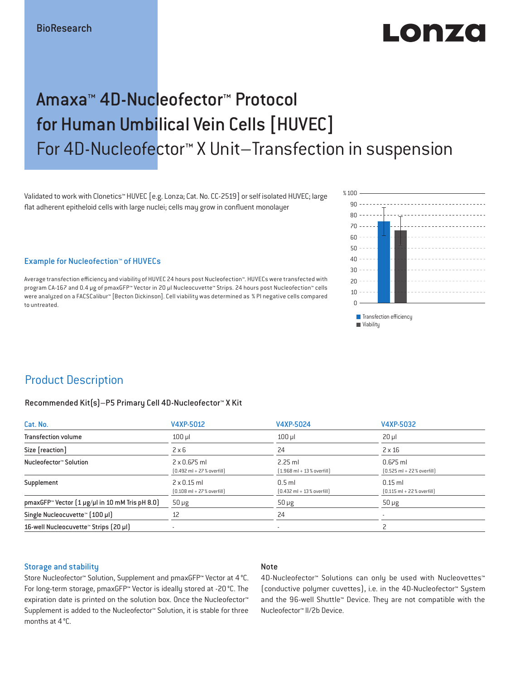# LO DE 20

## Amaxa™ 4D-Nucleofector™ Protocol for Human Umbilical Vein Cells [HUVEC] For 4D-Nucleofector™ X Unit–Transfection in suspension

Validated to work with Clonetics™ HUVEC [e.g. Lonza; Cat. No. CC-2519] or self isolated HUVEC; large flat adherent epitheloid cells with large nuclei; cells may grow in confluent monolayer

Example for Nucleofection™ of HUVECs

Average transfection efficiency and viability of HUVEC 24 hours post Nucleofection™. HUVECs were transfected with program CA-167 and 0.4 μg of pmaxGFP™ Vector in 20 µl Nucleocuvette™ Strips. 24 hours post Nucleofection™ cells were analyzed on a FACSCalibur™ [Becton Dickinson]. Cell viability was determined as % PI negative cells compared to untreated.



**Transfection efficiency Wiability** 

### Product Description

#### Recommended Kit(s)–P5 Primary Cell 4D-Nucleofector™ X Kit

| Cat. No.                                                           | V4XP-5012                                                           | V4XP-5024                                                | V4XP-5032                                                  |  |
|--------------------------------------------------------------------|---------------------------------------------------------------------|----------------------------------------------------------|------------------------------------------------------------|--|
| <b>Transfection volume</b>                                         | $100$ $\mu$                                                         | $100$ $\mu$                                              | $20 \mu$                                                   |  |
| Size [reaction]                                                    | $2 \times 6$                                                        | 24                                                       | $2 \times 16$                                              |  |
| Nucleofector™ Solution                                             | $2 \times 0.675$ ml<br>$[0.492 \text{ ml} + 27 \text{ %} overfill]$ | $2.25$ ml<br>$[1.968 \text{ ml} + 13 % \text{overfill}]$ | $0.675$ ml<br>$[0.525 \text{ ml} + 22 \text{ % overfill}]$ |  |
| Supplement                                                         | $2 \times 0.15$ ml<br>$[0.108 \text{ ml} + 27 \text{ %} overfill]$  | $0.5$ ml<br>$[0.432 \text{ ml} + 13 \text{ %} overfill]$ | $0.15$ ml<br>$[0.115 \text{ ml} + 22 \text{ % overfill}]$  |  |
| pmaxGFP <sup>*</sup> Vector $(1 \mu g/\mu l$ in 10 mM Tris pH 8.0) | $50 \mu g$                                                          | $50 \mu g$                                               | $50 \mu g$                                                 |  |
| Single Nucleocuvette™ [100 µl]                                     | 12                                                                  | 24                                                       |                                                            |  |
| 16-well Nucleocuvette <sup>™</sup> Strips [20 µl]                  | $\overline{\phantom{a}}$                                            | $\sim$                                                   |                                                            |  |

#### Storage and stability

#### Note

Store Nucleofector™ Solution, Supplement and pmaxGFP™ Vector at 4 °C. For long-term storage, pmaxGFP™ Vector is ideally stored at -20 °C. The expiration date is printed on the solution box. Once the Nucleofector™ Supplement is added to the Nucleofector™ Solution, it is stable for three months at 4 °C.

4D-Nucleofector™ Solutions can only be used with Nucleovettes™ (conductive polymer cuvettes), i.e. in the 4D-Nucleofector™ System and the 96-well Shuttle™ Device. They are not compatible with the Nucleofector™ II/2b Device.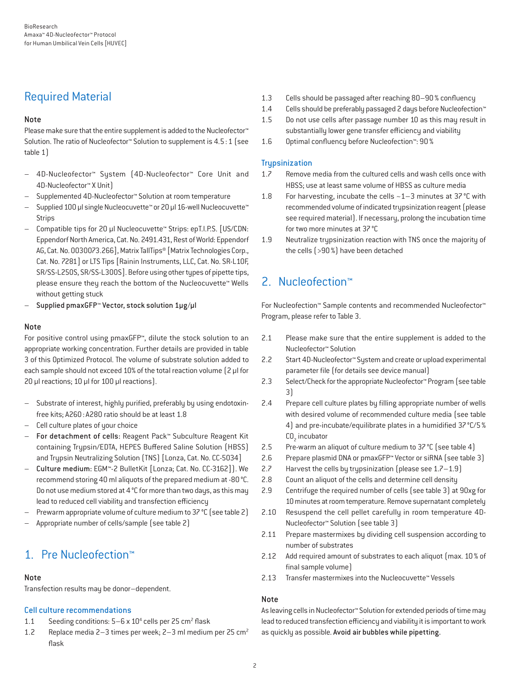### Required Material

### Note

Please make sure that the entire supplement is added to the Nucleofector<sup>™</sup> Solution. The ratio of Nucleofector™ Solution to supplement is 4.5:1 (see table 1)

- 4D-Nucleofector™ System (4D-Nucleofector™ Core Unit and 4D-Nucleofector™ X Unit)
- Supplemented 4D-Nucleofector™ Solution at room temperature
- Supplied 100 µl single Nucleocuvette™ or 20 µl 16-well Nucleocuvette™ Strips
- Compatible tips for 20 µl Nucleocuvette™ Strips: epT.I.P.S. [US/CDN: Eppendorf North America, Cat. No. 2491.431, Rest of World: Eppendorf AG, Cat. No. 0030073.266], Matrix TallTips® [Matrix Technologies Corp., Cat. No. 7281] or LTS Tips [Rainin Instruments, LLC, Cat. No. SR-L10F, SR/SS-L250S, SR/SS-L300S]. Before using other types of pipette tips, please ensure they reach the bottom of the Nucleocuvette™ Wells without getting stuck
- Supplied pmaxGFP™ Vector, stock solution 1µg/µl

### Note

For positive control using pmaxGFP™, dilute the stock solution to an appropriate working concentration. Further details are provided in table 3 of this Optimized Protocol. The volume of substrate solution added to each sample should not exceed 10% of the total reaction volume [2 µl for 20 µl reactions; 10 µl for 100 µl reactions).

- Substrate of interest, highly purified, preferably by using endotoxinfree kits; A260: A280 ratio should be at least 1.8
- Cell culture plates of your choice
- For detachment of cells: Reagent Pack™ Subculture Reagent Kit containing Trypsin/EDTA, HEPES Buffered Saline Solution (HBSS) and Trypsin Neutralizing Solution (TNS) [Lonza, Cat. No. CC-5034]
- Culture medium: EGM™-2 BulletKit [Lonza; Cat. No. CC-3162]). We recommend storing 40 ml aliquots of the prepared medium at -80°C. Do not use medium stored at 4 °C for more than two days, as this may lead to reduced cell viability and transfection efficiency
- Prewarm appropriate volume of culture medium to 37 °C (see table 2)
- Appropriate number of cells/sample (see table 2)

### 1. Pre Nucleofection™

### Note

Transfection results may be donor–dependent.

### Cell culture recommendations

- 1.1 Seeding conditions:  $5-6 \times 10^4$  cells per 25 cm<sup>2</sup> flask
- 1.2 Replace media 2–3 times per week; 2–3 ml medium per 25 cm2 flask
- 1.3 Cells should be passaged after reaching 80–90% confluency
- 1.4 Cells should be preferably passaged 2 days before Nucleofection™
- 1.5 Do not use cells after passage number 10 as this may result in substantially lower gene transfer efficiency and viability
- 1.6 Optimal confluency before Nucleofection™: 90%

### **Trypsinization**

- 1.7 Remove media from the cultured cells and wash cells once with HBSS; use at least same volume of HBSS as culture media
- 1.8 For harvesting, incubate the cells  $\sim$  1–3 minutes at 37 °C with recommended volume of indicated trypsinization reagent (please see required material). If necessary, prolong the incubation time for two more minutes at 37°C
- 1.9 Neutralize trypsinization reaction with TNS once the majority of the cells (>90%) have been detached

### 2. Nucleofection™

For Nucleofection™ Sample contents and recommended Nucleofector™ Program, please refer to Table 3.

- 2.1 Please make sure that the entire supplement is added to the Nucleofector™ Solution
- 2.2 Start 4D-Nucleofector™ System and create or upload experimental parameter file (for details see device manual)
- 2.3 Select/Check for the appropriate Nucleofector™ Program (see table 3)
- 2.4 Prepare cell culture plates by filling appropriate number of wells with desired volume of recommended culture media (see table 4) and pre-incubate/equilibrate plates in a humidified 37°C/5%  $CO<sub>2</sub>$  incubator
- 2.5 Pre-warm an aliquot of culture medium to 37°C (see table 4)
- 2.6 Prepare plasmid DNA or pmaxGFP™ Vector or siRNA (see table 3)
- 2.7 Harvest the cells by trypsinization (please see 1.7–1.9)
- 2.8 Count an aliquot of the cells and determine cell density
- 2.9 Centrifuge the required number of cells (see table 3) at 90xg for 10 minutes at room temperature. Remove supernatant completely
- 2.10 Resuspend the cell pellet carefully in room temperature 4D-Nucleofector™ Solution (see table 3)
- 2.11 Prepare mastermixes by dividing cell suspension according to number of substrates
- 2.12 Add required amount of substrates to each aliquot (max. 10 % of final sample volume)
- 2.13 Transfer mastermixes into the Nucleocuvette™ Vessels

### Note

As leaving cells in Nucleofector™ Solution for extended periods of time may lead to reduced transfection efficiency and viability it is important to work as quickly as possible. Avoid air bubbles while pipetting.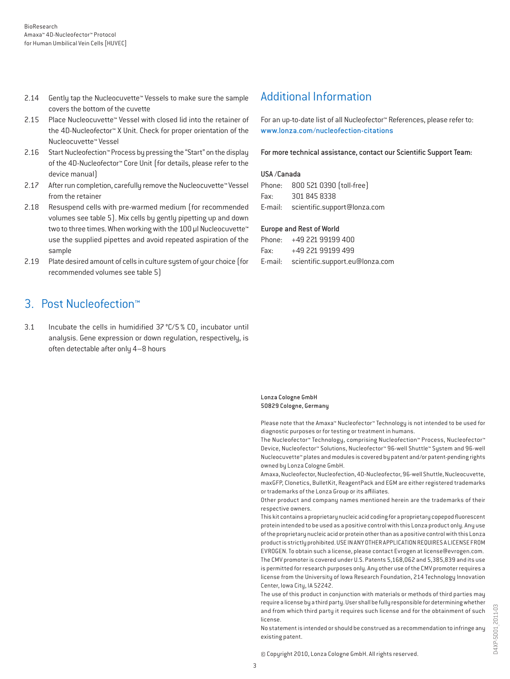- 2.14 Gently tap the Nucleocuvette™ Vessels to make sure the sample covers the bottom of the cuvette
- 2.15 Place Nucleocuvette™ Vessel with closed lid into the retainer of the 4D-Nucleofector™ X Unit. Check for proper orientation of the Nucleocuvette™ Vessel
- 2.16 Start Nucleofection™ Process by pressing the "Start" on the display of the 4D-Nucleofector™ Core Unit (for details, please refer to the device manual)
- 2.17 After run completion, carefully remove the Nucleocuvette™ Vessel from the retainer
- 2.18 Resuspend cells with pre-warmed medium (for recommended volumes see table 5). Mix cells by gently pipetting up and down two to three times. When working with the 100 µl Nucleocuvette™ use the supplied pipettes and avoid repeated aspiration of the sample
- 2.19 Plate desired amount of cells in culture system of your choice (for recommended volumes see table 5)

### 3. Post Nucleofection™

3.1 Incubate the cells in humidified  $37^{\circ}$ C/5 % CO<sub>2</sub> incubator until analysis. Gene expression or down regulation, respectively, is often detectable after only 4–8 hours

### Additional Information

For an up-to-date list of all Nucleofector™ References, please refer to: www.lonza.com/nucleofection-citations

For more technical assistance, contact our Scientific Support Team:

#### USA /Canada

|      | Phone: 800 521 0390 (toll-free)      |
|------|--------------------------------------|
| Fax: | 301 845 8338                         |
|      | E-mail: scientific.support@lonza.com |

#### Europe and Rest of World

|          | Phone: +49 221 99199 400                |
|----------|-----------------------------------------|
| Fax: Fax | +49 221 99199 499                       |
|          | E-mail: scientific.support.eu@lonza.com |

Lonza Cologne GmbH 50829 Cologne, Germany

Please note that the Amaxa™ Nucleofector™ Technology is not intended to be used for diagnostic purposes or for testing or treatment in humans.

The Nucleofector™ Technology, comprising Nucleofection™ Process, Nucleofector™ Device, Nucleofector™ Solutions, Nucleofector™ 96-well Shuttle™ System and 96-well Nucleocuvette™ plates and modules is covered by patent and/or patent-pending rights owned by Lonza Cologne GmbH.

Amaxa, Nucleofector, Nucleofection, 4D-Nucleofector, 96-well Shuttle, Nucleocuvette, maxGFP, Clonetics, BulletKit, ReagentPack and EGM are either registered trademarks or trademarks of the Lonza Group or its affiliates.

Other product and company names mentioned herein are the trademarks of their respective owners.

This kit contains a proprietary nucleic acid coding for a proprietary copepod fluorescent protein intended to be used as a positive control with this Lonza product only. Any use of the proprietary nucleic acid or protein other than as a positive control with this Lonza product is strictly prohibited. USE IN ANY OTHER APPLICATION REQUIRES A LICENSE FROM EVROGEN. To obtain such a license, please contact Evrogen at license@evrogen.com. The CMV promoter is covered under U.S. Patents 5,168,062 and 5,385,839 and its use is permitted for research purposes only. Any other use of the CMV promoter requires a license from the University of Iowa Research Foundation, 214 Technology Innovation Center, Iowa City, IA 52242.

The use of this product in conjunction with materials or methods of third parties may require a license by a third party. User shall be fully responsible for determining whether and from which third party it requires such license and for the obtainment of such license.

No statement is intended or should be construed as a recommendation to infringe any existing patent.

© Copyright 2010, Lonza Cologne GmbH. All rights reserved.